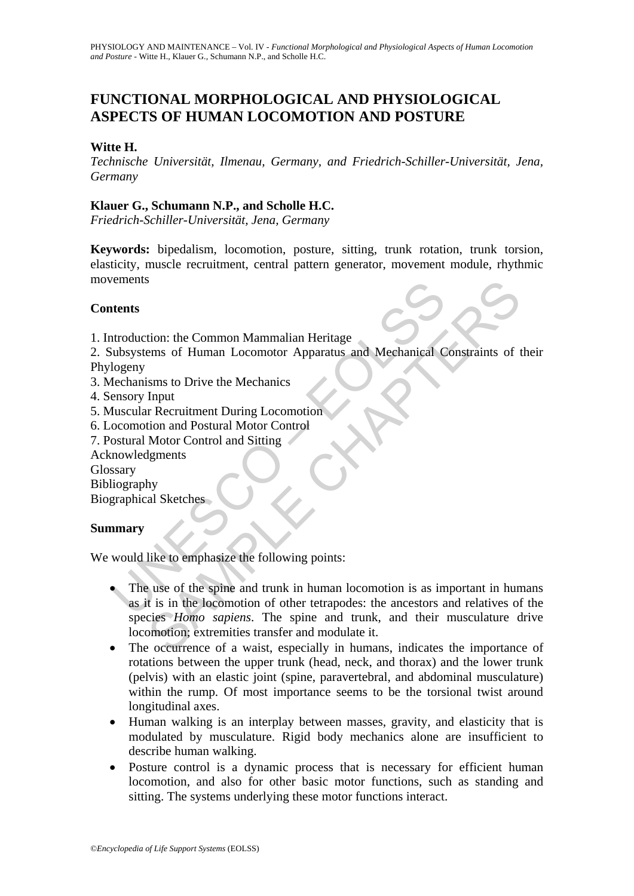# **FUNCTIONAL MORPHOLOGICAL AND PHYSIOLOGICAL ASPECTS OF HUMAN LOCOMOTION AND POSTURE**

## **Witte H.**

*Technische Universität, Ilmenau, Germany, and Friedrich-Schiller-Universität, Jena, Germany* 

## **Klauer G., Schumann N.P., and Scholle H.C.**

*Friedrich-Schiller-Universität, Jena, Germany* 

**Keywords:** bipedalism, locomotion, posture, sitting, trunk rotation, trunk torsion, elasticity, muscle recruitment, central pattern generator, movement module, rhythmic movements

## **Contents**

- 1. Introduction: the Common Mammalian Heritage
- 2. Subsystems of Human Locomotor Apparatus and Mechanical Constraints of their Phylogeny
- 3. Mechanisms to Drive the Mechanics
- 4. Sensory Input
- 5. Muscular Recruitment During Locomotion
- 6. Locomotion and Postural Motor Control
- 7. Postural Motor Control and Sitting
- Acknowledgments

Glossary

Bibliography

Biographical Sketches

# **Summary**

We would like to emphasize the following points:

- **Example 18 Example 10**<br>
Introduction: the Common Mammalian Heritage<br>
udbsystems of Human Locomotor Apparatus and Mechanical Cogeny<br>
dechanisms to Drive the Mechanics<br>
ensory Input<br>
fluscular Recruitment During Locomotion<br> S<br>
Stims to Human Locomotor Apparatus and Mechanical Constraints of<br>
Input<br>
Input<br>
Input<br>
Incentrial During Locomotion<br>
Incentrial During Locomotion<br>
Incentrial Motor Control<br>
Motor Control and Sitting<br>
My<br>
al Sketches<br>
Sh The use of the spine and trunk in human locomotion is as important in humans as it is in the locomotion of other tetrapodes: the ancestors and relatives of the species *Homo sapiens*. The spine and trunk, and their musculature drive locomotion; extremities transfer and modulate it.
- The occurrence of a waist, especially in humans, indicates the importance of rotations between the upper trunk (head, neck, and thorax) and the lower trunk (pelvis) with an elastic joint (spine, paravertebral, and abdominal musculature) within the rump. Of most importance seems to be the torsional twist around longitudinal axes.
- Human walking is an interplay between masses, gravity, and elasticity that is modulated by musculature. Rigid body mechanics alone are insufficient to describe human walking.
- Posture control is a dynamic process that is necessary for efficient human locomotion, and also for other basic motor functions, such as standing and sitting. The systems underlying these motor functions interact.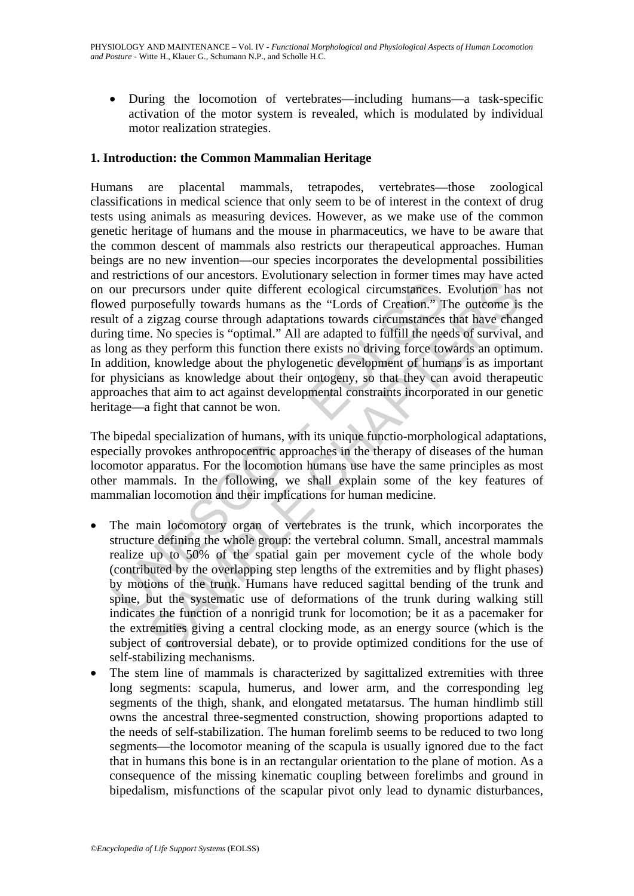• During the locomotion of vertebrates—including humans—a task-specific activation of the motor system is revealed, which is modulated by individual motor realization strategies.

# **1. Introduction: the Common Mammalian Heritage**

or precursors under quite different ecological circumstances.<br>
Sed purposefully towards humans as the "Lords of Creation." In the cargo proposefully towards humans as the "Lords of Creation." In the a zigzag course through Humans are placental mammals, tetrapodes, vertebrates—those zoological classifications in medical science that only seem to be of interest in the context of drug tests using animals as measuring devices. However, as we make use of the common genetic heritage of humans and the mouse in pharmaceutics, we have to be aware that the common descent of mammals also restricts our therapeutical approaches. Human beings are no new invention—our species incorporates the developmental possibilities and restrictions of our ancestors. Evolutionary selection in former times may have acted on our precursors under quite different ecological circumstances. Evolution has not flowed purposefully towards humans as the "Lords of Creation." The outcome is the result of a zigzag course through adaptations towards circumstances that have changed during time. No species is "optimal." All are adapted to fulfill the needs of survival, and as long as they perform this function there exists no driving force towards an optimum. In addition, knowledge about the phylogenetic development of humans is as important for physicians as knowledge about their ontogeny, so that they can avoid therapeutic approaches that aim to act against developmental constraints incorporated in our genetic heritage—a fight that cannot be won.

The bipedal specialization of humans, with its unique functio-morphological adaptations, especially provokes anthropocentric approaches in the therapy of diseases of the human locomotor apparatus. For the locomotion humans use have the same principles as most other mammals. In the following, we shall explain some of the key features of mammalian locomotion and their implications for human medicine.

- now or an encourant arrondomy stacked marriagn and the transfactor and the system in the system cological circumstances. Evolution has posefully towards humans as the "Lords of Creation." The outcome is zigzag course throu The main locomotory organ of vertebrates is the trunk, which incorporates the structure defining the whole group: the vertebral column. Small, ancestral mammals realize up to 50% of the spatial gain per movement cycle of the whole body (contributed by the overlapping step lengths of the extremities and by flight phases) by motions of the trunk. Humans have reduced sagittal bending of the trunk and spine, but the systematic use of deformations of the trunk during walking still indicates the function of a nonrigid trunk for locomotion; be it as a pacemaker for the extremities giving a central clocking mode, as an energy source (which is the subject of controversial debate), or to provide optimized conditions for the use of self-stabilizing mechanisms.
- The stem line of mammals is characterized by sagittalized extremities with three long segments: scapula, humerus, and lower arm, and the corresponding leg segments of the thigh, shank, and elongated metatarsus. The human hindlimb still owns the ancestral three-segmented construction, showing proportions adapted to the needs of self-stabilization. The human forelimb seems to be reduced to two long segments—the locomotor meaning of the scapula is usually ignored due to the fact that in humans this bone is in an rectangular orientation to the plane of motion. As a consequence of the missing kinematic coupling between forelimbs and ground in bipedalism, misfunctions of the scapular pivot only lead to dynamic disturbances,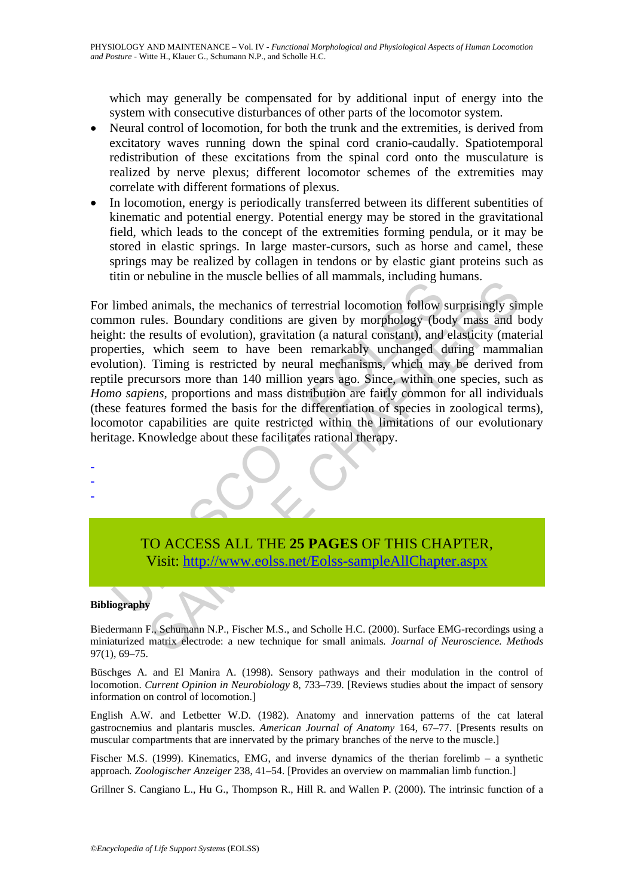which may generally be compensated for by additional input of energy into the system with consecutive disturbances of other parts of the locomotor system.

- Neural control of locomotion, for both the trunk and the extremities, is derived from excitatory waves running down the spinal cord cranio-caudally. Spatiotemporal redistribution of these excitations from the spinal cord onto the musculature is realized by nerve plexus; different locomotor schemes of the extremities may correlate with different formations of plexus.
- In locomotion, energy is periodically transferred between its different subentities of kinematic and potential energy. Potential energy may be stored in the gravitational field, which leads to the concept of the extremities forming pendula, or it may be stored in elastic springs. In large master-cursors, such as horse and camel, these springs may be realized by collagen in tendons or by elastic giant proteins such as titin or nebuline in the muscle bellies of all mammals, including humans.

and or nocaling in the mechanics of terrestrial locomotion follow simpled animals, the mechanics of terrestrial locomotion follow simple and mechanics with the results of evolution), gravitation (a natural constant), and b Incomme in the massive comes of an infinition, metalang naminals, and a<br>second and an increase spice by the metallom (a natural composition), and elasticity (mate<br>usuals of evolution), gravitation (a natural constant), and For limbed animals, the mechanics of terrestrial locomotion follow surprisingly simple common rules. Boundary conditions are given by morphology (body mass and body height: the results of evolution), gravitation (a natural constant), and elasticity (material properties, which seem to have been remarkably unchanged during mammalian evolution). Timing is restricted by neural mechanisms, which may be derived from reptile precursors more than 140 million years ago. Since, within one species, such as *Homo sapiens*, proportions and mass distribution are fairly common for all individuals (these features formed the basis for the differentiation of species in zoological terms), locomotor capabilities are quite restricted within the limitations of our evolutionary heritage. Knowledge about these facilitates rational therapy.

TO ACCESS ALL THE **25 PAGES** OF THIS CHAPTER, Visit: http://www.eolss.net/Eolss-sampleAllChapter.aspx

#### **Bibliography**

- - -

Biedermann F., Schumann N.P., Fischer M.S., and Scholle H.C. (2000). Surface EMG-recordings using a miniaturized matrix electrode: a new technique for small animals*. Journal of Neuroscience. Methods*  97(1), 69–75.

Büschges A. and El Manira A. (1998). Sensory pathways and their modulation in the control of locomotion. *Current Opinion in Neurobiology* 8, 733–739. [Reviews studies about the impact of sensory information on control of locomotion.]

English A.W. and Letbetter W.D. (1982). Anatomy and innervation patterns of the cat lateral gastrocnemius and plantaris muscles. *American Journal of Anatomy* 164, 67–77. [Presents results on muscular compartments that are innervated by the primary branches of the nerve to the muscle.]

Fischer M.S. (1999). Kinematics, EMG, and inverse dynamics of the therian forelimb – a synthetic approach*. Zoologischer Anzeiger* 238, 41–54. [Provides an overview on mammalian limb function.]

Grillner S. Cangiano L., Hu G., Thompson R., Hill R. and Wallen P. (2000). The intrinsic function of a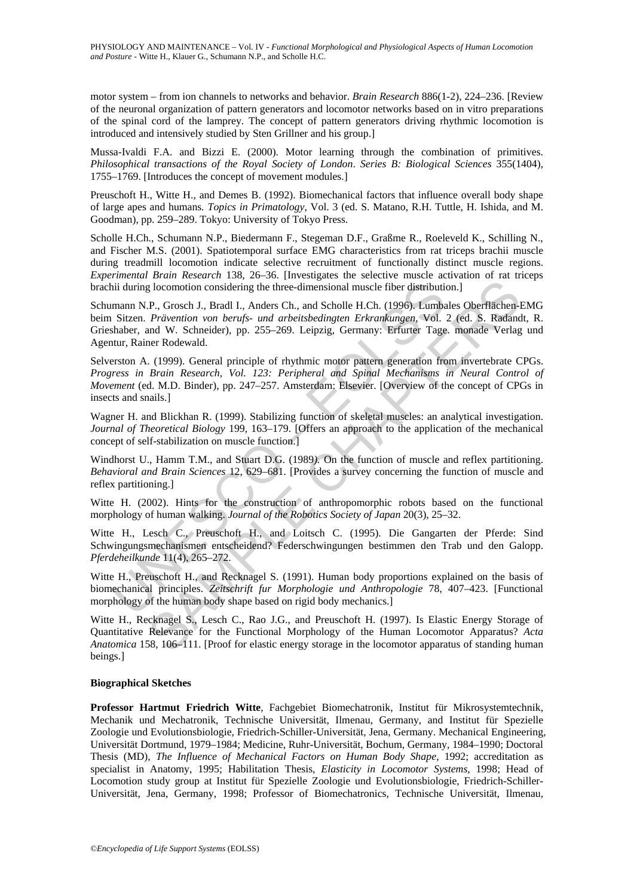motor system – from ion channels to networks and behavior. *Brain Research* 886(1-2), 224–236. [Review of the neuronal organization of pattern generators and locomotor networks based on in vitro preparations of the spinal cord of the lamprey. The concept of pattern generators driving rhythmic locomotion is introduced and intensively studied by Sten Grillner and his group.]

Mussa-Ivaldi F.A. and Bizzi E. (2000). Motor learning through the combination of primitives. *Philosophical transactions of the Royal Society of London*. *Series B: Biological Sciences* 355(1404), 1755–1769. [Introduces the concept of movement modules.]

Preuschoft H., Witte H., and Demes B. (1992). Biomechanical factors that influence overall body shape of large apes and humans*. Topics in Primatology*, Vol. 3 (ed. S. Matano, R.H. Tuttle, H. Ishida, and M. Goodman), pp. 259–289. Tokyo: University of Tokyo Press.

Scholle H.Ch., Schumann N.P., Biedermann F., Stegeman D.F., Graßme R., Roeleveld K., Schilling N., and Fischer M.S. (2001). Spatiotemporal surface EMG characteristics from rat triceps brachii muscle during treadmill locomotion indicate selective recruitment of functionally distinct muscle regions. *Experimental Brain Research* 138, 26–36. [Investigates the selective muscle activation of rat triceps brachii during locomotion considering the three-dimensional muscle fiber distribution.]

ii during locomotion considering the three-dimensional muscle fiber distribution<br>mann N.P., Grosch J., Bradl I., Anders Ch., and Scholle H.Ch. (1996). Lumba<br>Sitzen. *Prävention von berufs- und arbeitsbedingten Erkrankungen* glocomotion considering the three-dimensional muscle fiber distribution.]<br>
P., Grosch J., Bradl I., Anders Ch., and Scholle H.Ch. (1996). Lumbales Oberflächen-<br>
Privivention von bends- and arbeitsbedingten Erkrangkungen. V Schumann N.P., Grosch J., Bradl I., Anders Ch., and Scholle H.Ch. (1996). Lumbales Oberflächen-EMG beim Sitzen. *Prävention von berufs- und arbeitsbedingten Erkrankungen*, Vol. 2 (ed. S. Radandt, R. Grieshaber, and W. Schneider), pp. 255–269. Leipzig, Germany: Erfurter Tage. monade Verlag und Agentur, Rainer Rodewald.

Selverston A. (1999). General principle of rhythmic motor pattern generation from invertebrate CPGs. *Progress in Brain Research, Vol. 123: Peripheral and Spinal Mechanisms in Neural Control of Movement* (ed. M.D. Binder), pp. 247–257. Amsterdam: Elsevier. [Overview of the concept of CPGs in insects and snails.]

Wagner H. and Blickhan R. (1999). Stabilizing function of skeletal muscles: an analytical investigation. *Journal of Theoretical Biology* 199, 163–179. [Offers an approach to the application of the mechanical concept of self-stabilization on muscle function.]

Windhorst U., Hamm T.M., and Stuart D.G. (1989*).* On the function of muscle and reflex partitioning. *Behavioral and Brain Sciences* 12, 629–681. [Provides a survey concerning the function of muscle and reflex partitioning.]

Witte H. (2002). Hints for the construction of anthropomorphic robots based on the functional morphology of human walking. *Journal of the Robotics Society of Japan* 20(3), 25–32.

Witte H., Lesch C., Preuschoft H., and Loitsch C. (1995). Die Gangarten der Pferde: Sind Schwingungsmechanismen entscheidend? Federschwingungen bestimmen den Trab und den Galopp. *Pferdeheilkunde* 11(4), 265–272.

Witte H., Preuschoft H., and Recknagel S. (1991). Human body proportions explained on the basis of biomechanical principles. *Zeitschrift fur Morphologie und Anthropologie* 78, 407–423. [Functional morphology of the human body shape based on rigid body mechanics.]

Witte H., Recknagel S., Lesch C., Rao J.G., and Preuschoft H. (1997). Is Elastic Energy Storage of Quantitative Relevance for the Functional Morphology of the Human Locomotor Apparatus? *Acta Anatomica* 158, 106–111. [Proof for elastic energy storage in the locomotor apparatus of standing human beings.]

#### **Biographical Sketches**

**Professor Hartmut Friedrich Witte**, Fachgebiet Biomechatronik, Institut für Mikrosystemtechnik, Mechanik und Mechatronik, Technische Universität, Ilmenau, Germany, and Institut für Spezielle Zoologie und Evolutionsbiologie, Friedrich-Schiller-Universität, Jena, Germany. Mechanical Engineering, Universität Dortmund, 1979–1984; Medicine, Ruhr-Universität, Bochum, Germany, 1984–1990; Doctoral Thesis (MD), *The Influence of Mechanical Factors on Human Body Shape*, 1992; accreditation as specialist in Anatomy, 1995; Habilitation Thesis, *Elasticity in Locomotor Systems*, 1998; Head of Locomotion study group at Institut für Spezielle Zoologie und Evolutionsbiologie, Friedrich-Schiller-Universität, Jena, Germany, 1998; Professor of Biomechatronics, Technische Universität, Ilmenau,